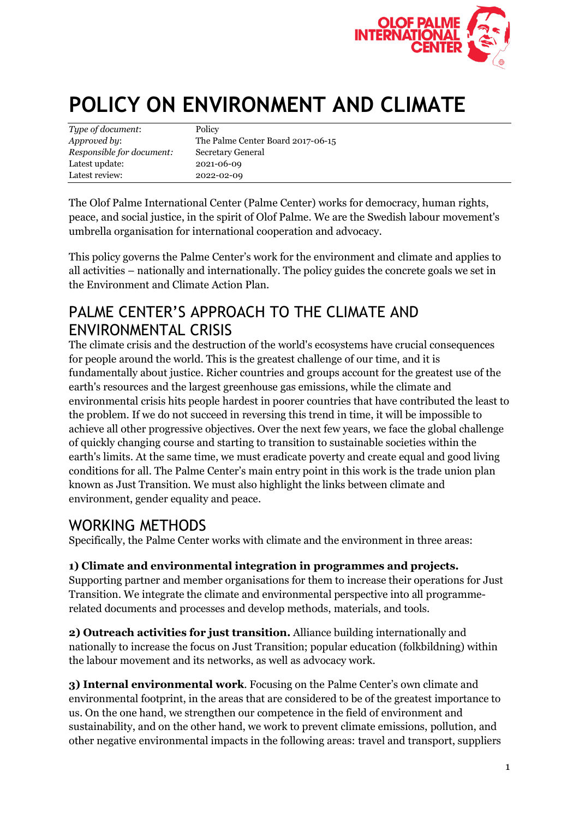

# **POLICY ON ENVIRONMENT AND CLIMATE**

| Type of document:         | Policy                            |
|---------------------------|-----------------------------------|
| Approved by:              | The Palme Center Board 2017-06-15 |
| Responsible for document: | Secretary General                 |
| Latest update:            | 2021-06-09                        |
| Latest review:            | 2022-02-09                        |

The Olof Palme International Center (Palme Center) works for democracy, human rights, peace, and social justice, in the spirit of Olof Palme. We are the Swedish labour movement's umbrella organisation for international cooperation and advocacy.

This policy governs the Palme Center's work for the environment and climate and applies to all activities – nationally and internationally. The policy guides the concrete goals we set in the Environment and Climate Action Plan.

### PALME CENTER'S APPROACH TO THE CLIMATE AND ENVIRONMENTAL CRISIS

The climate crisis and the destruction of the world's ecosystems have crucial consequences for people around the world. This is the greatest challenge of our time, and it is fundamentally about justice. Richer countries and groups account for the greatest use of the earth's resources and the largest greenhouse gas emissions, while the climate and environmental crisis hits people hardest in poorer countries that have contributed the least to the problem. If we do not succeed in reversing this trend in time, it will be impossible to achieve all other progressive objectives. Over the next few years, we face the global challenge of quickly changing course and starting to transition to sustainable societies within the earth's limits. At the same time, we must eradicate poverty and create equal and good living conditions for all. The Palme Center's main entry point in this work is the trade union plan known as Just Transition. We must also highlight the links between climate and environment, gender equality and peace.

#### WORKING METHODS

Specifically, the Palme Center works with climate and the environment in three areas:

#### **1) Climate and environmental integration in programmes and projects.**

Supporting partner and member organisations for them to increase their operations for Just Transition. We integrate the climate and environmental perspective into all programmerelated documents and processes and develop methods, materials, and tools.

**2) Outreach activities for just transition.** Alliance building internationally and nationally to increase the focus on Just Transition; popular education (folkbildning) within the labour movement and its networks, as well as advocacy work.

**3) Internal environmental work**. Focusing on the Palme Center's own climate and environmental footprint, in the areas that are considered to be of the greatest importance to us. On the one hand, we strengthen our competence in the field of environment and sustainability, and on the other hand, we work to prevent climate emissions, pollution, and other negative environmental impacts in the following areas: travel and transport, suppliers